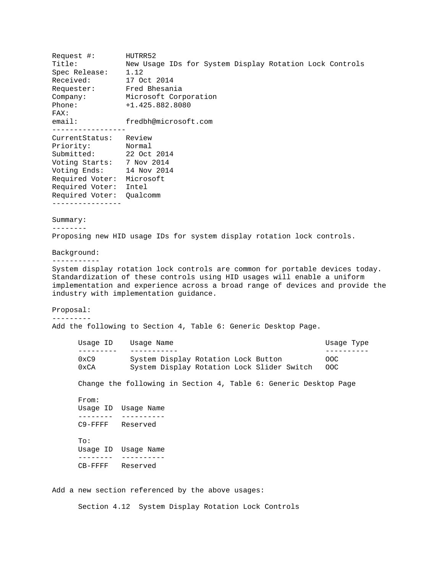Request #: HUTRR52 Title: New Usage IDs for System Display Rotation Lock Controls Spec Release: 1.12 Received: 17 Oct 2014 Requester: Fred Bhesania Company: Microsoft Corporation Phone: +1.425.882.8080 FAX: email: fredbh@microsoft.com ----------------- CurrentStatus: Review Priority: Normal Submitted: 22 Oct 2014 Voting Starts: 7 Nov 2014 Voting Ends: 14 Nov 2014 Required Voter: Microsoft Required Voter: Intel Required Voter: Qualcomm ---------------- Summary: -------- Proposing new HID usage IDs for system display rotation lock controls. Background: ----------- System display rotation lock controls are common for portable devices today.

Standardization of these controls using HID usages will enable a uniform implementation and experience across a broad range of devices and provide the industry with implementation guidance.

Proposal: ---------

Add the following to Section 4, Table 6: Generic Desktop Page.

| Usage Name                                 | Usage Type |
|--------------------------------------------|------------|
|                                            |            |
| System Display Rotation Lock Button        | OOC.       |
| System Display Rotation Lock Slider Switch | OOC.       |
|                                            |            |

Change the following in Section 4, Table 6: Generic Desktop Page

From: Usage ID Usage Name -------- ---------- C9-FFFF Reserved

To: Usage ID Usage Name -------- ---------- CB-FFFF Reserved

Add a new section referenced by the above usages:

Section 4.12 System Display Rotation Lock Controls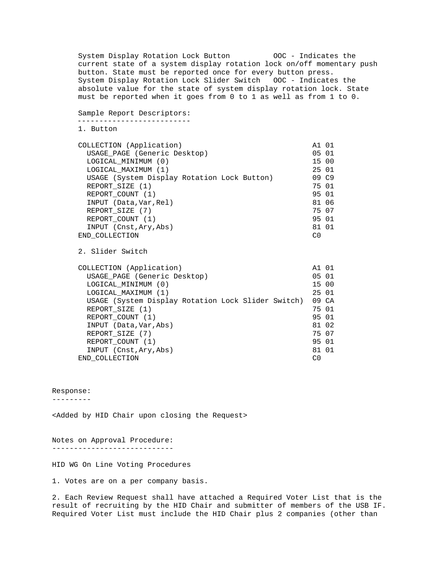System Display Rotation Lock Button 00C - Indicates the current state of a system display rotation lock on/off momentary push button. State must be reported once for every button press. System Display Rotation Lock Slider Switch OOC - Indicates the absolute value for the state of system display rotation lock. State must be reported when it goes from 0 to 1 as well as from 1 to 0.

```
Sample Report Descriptors: 
--------------------------
```
1. Button

| COLLECTION (Application)                    | A1 01 |  |
|---------------------------------------------|-------|--|
| USAGE_PAGE (Generic Desktop)                | 05 01 |  |
| LOGICAL MINIMUM (0)                         | 15 00 |  |
| LOGICAL MAXIMUM (1)                         | 25 01 |  |
| USAGE (System Display Rotation Lock Button) | 09 C9 |  |
| REPORT SIZE (1)                             | 75 01 |  |
| REPORT_COUNT (1)                            | 95 01 |  |
| INPUT (Data, Var, Rel)                      | 81 06 |  |
| REPORT SIZE (7)                             | 75 07 |  |
| REPORT COUNT (1)                            | 95 01 |  |
| INPUT (Cnst, Ary, Abs)                      | 81 01 |  |
| END COLLECTION                              | C0    |  |

```
2. Slider Switch
```

| COLLECTION (Application)                           | A1 01 |  |
|----------------------------------------------------|-------|--|
| USAGE PAGE (Generic Desktop)                       | 05 01 |  |
| LOGICAL MINIMUM (0)                                | 15 00 |  |
| LOGICAL MAXIMUM (1)                                | 25 01 |  |
| USAGE (System Display Rotation Lock Slider Switch) | 09 CA |  |
| REPORT SIZE (1)                                    | 75 01 |  |
| REPORT COUNT (1)                                   | 95 01 |  |
| INPUT (Data, Var, Abs)                             | 81 02 |  |
| REPORT SIZE (7)                                    | 75 07 |  |
| REPORT COUNT (1)                                   | 95 01 |  |
| INPUT (Cnst, Ary, Abs)                             | 81 01 |  |
| END COLLECTION                                     | C0    |  |

## Response:

---------

<Added by HID Chair upon closing the Request>

Notes on Approval Procedure: ----------------------------

HID WG On Line Voting Procedures

1. Votes are on a per company basis.

2. Each Review Request shall have attached a Required Voter List that is the result of recruiting by the HID Chair and submitter of members of the USB IF. Required Voter List must include the HID Chair plus 2 companies (other than